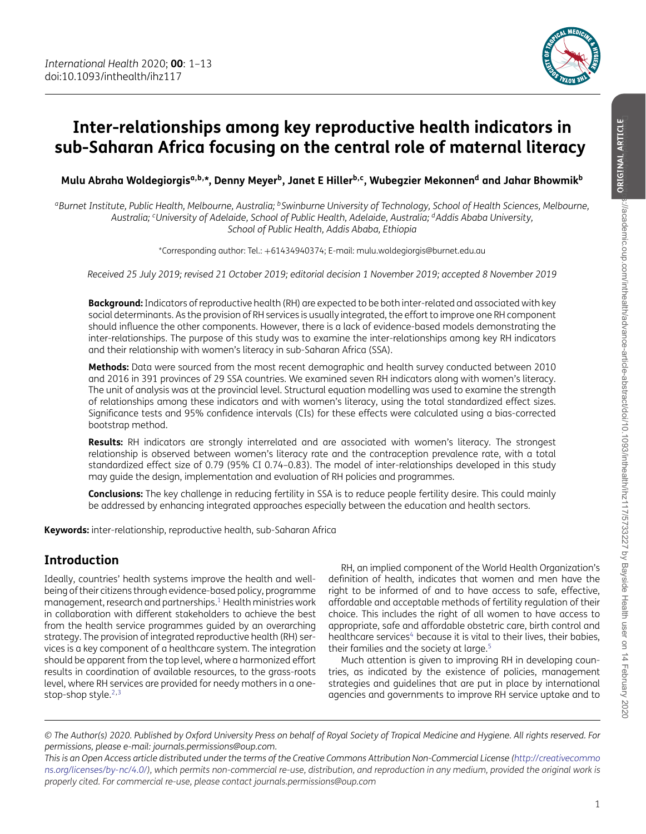

# **Inter-relationships among key reproductive health indicators in sub-Saharan Africa focusing on the central role of maternal literacy**

**Mulu Abraha Woldegiorgisa,b,\*, Denny Meyerb, Janet E Hillerb,c, Wubegzier Mekonnend and Jahar Bhowmikb**

*aBurnet Institute, Public Health, Melbourne, Australia; bSwinburne University of Technology, School of Health Sciences, Melbourne,* Australia; <sup>c</sup>University of Adelaide, School of Public Health, Adelaide, Australia; <sup>d</sup>Addis Ababa University, *School of Public Health, Addis Ababa, Ethiopia*

\*Corresponding author: Tel.: +61434940374; E-mail: mulu.woldegiorgis@burnet.edu.au

*Received 25 July 2019; revised 21 October 2019; editorial decision 1 November 2019; accepted 8 November 2019*

**Background:**Indicators of reproductive health (RH) are expected to be both inter-related and associated with key social determinants. As the provision of RH services is usually integrated, the effort to improve one RH component should influence the other components. However, there is a lack of evidence-based models demonstrating the inter-relationships. The purpose of this study was to examine the inter-relationships among key RH indicators and their relationship with women's literacy in sub-Saharan Africa (SSA).

**Methods:** Data were sourced from the most recent demographic and health survey conducted between 2010 and 2016 in 391 provinces of 29 SSA countries. We examined seven RH indicators along with women's literacy. The unit of analysis was at the provincial level. Structural equation modelling was used to examine the strength of relationships among these indicators and with women's literacy, using the total standardized effect sizes. Significance tests and 95% confidence intervals (CIs) for these effects were calculated using a bias-corrected bootstrap method.

**Results:** RH indicators are strongly interrelated and are associated with women's literacy. The strongest relationship is observed between women's literacy rate and the contraception prevalence rate, with a total standardized effect size of 0.79 (95% CI 0.74–0.83). The model of inter-relationships developed in this study may guide the design, implementation and evaluation of RH policies and programmes.

**Conclusions:** The key challenge in reducing fertility in SSA is to reduce people fertility desire. This could mainly be addressed by enhancing integrated approaches especially between the education and health sectors.

**Keywords:** inter-relationship, reproductive health, sub-Saharan Africa

### **Introduction**

Ideally, countries' health systems improve the health and wellbeing of their citizens through evidence-based policy, programme management, research and partnerships.<sup>1</sup> Health ministries work in collaboration with different stakeholders to achieve the best from the health service programmes guided by an overarching strategy. The provision of integrated reproductive health (RH) services is a key component of a healthcare system. The integration should be apparent from the top level, where a harmonized effort results in coordination of available resources, to the grass-roots level, where RH services are provided for needy mothers in a onestop-shop style. $2,3$  $2,3$ 

RH, an implied component of the World Health Organization's definition of health, indicates that women and men have the right to be informed of and to have access to safe, effective, affordable and acceptable methods of fertility regulation of their choice. This includes the right of all women to have access to appropriate, safe and affordable obstetric care, birth control and healthcare services<sup>[4](#page-9-3)</sup> because it is vital to their lives, their babies, their families and the society at large.<sup>5</sup>

Much attention is given to improving RH in developing countries, as indicated by the existence of policies, management strategies and guidelines that are put in place by international agencies and governments to improve RH service uptake and to

*<sup>©</sup> The Author(s) 2020. Published by Oxford University Press on behalf of Royal Society of Tropical Medicine and Hygiene. All rights reserved. For permissions, please e-mail: journals.permissions@oup.com.*

*This is an Open Access article distributed under the terms of the Creative Commons Attribution Non-Commercial License [\(http://creativecommo](http://creativecommons.org/licenses/by-nc/4.0/) [ns.org/licenses/by-nc/4.0/\)](http://creativecommons.org/licenses/by-nc/4.0/), which permits non-commercial re-use, distribution, and reproduction in any medium, provided the original work is properly cited. For commercial re-use, please contact journals.permissions@oup.com*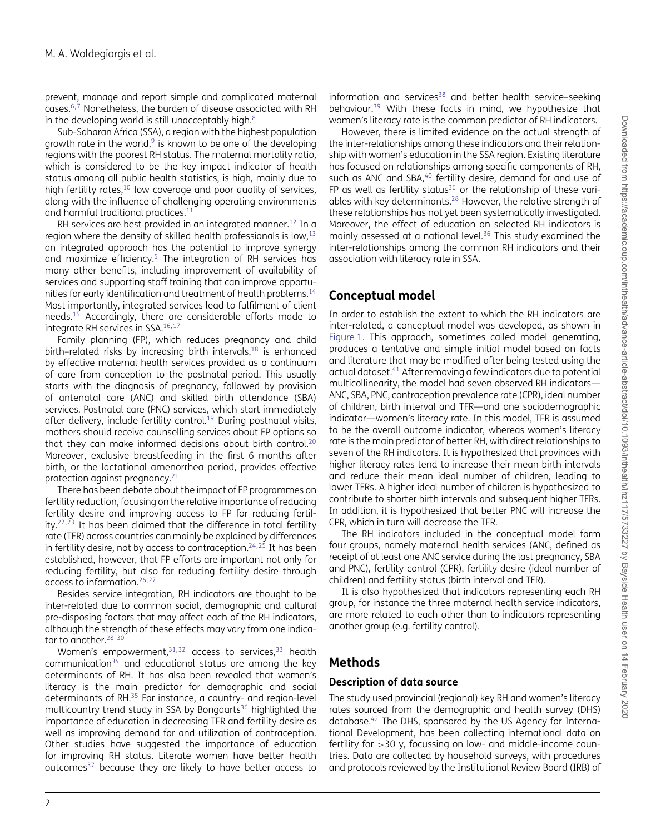prevent, manage and report simple and complicated maternal cases[.6,](#page-9-5)[7](#page-9-6) Nonetheless, the burden of disease associated with RH in the developing world is still unacceptably high. $8$ 

Sub-Saharan Africa (SSA), a region with the highest population growth rate in the world, $9$  is known to be one of the developing regions with the poorest RH status. The maternal mortality ratio, which is considered to be the key impact indicator of health status among all public health statistics, is high, mainly due to high fertility rates,<sup>10</sup> low coverage and poor quality of services, along with the influence of challenging operating environments and harmful traditional practices.<sup>11</sup>

RH services are best provided in an integrated manner.<sup>[12](#page-9-11)</sup> In a region where the density of skilled health professionals is low,  $13$ an integrated approach has the potential to improve synergy and maximize efficiency.<sup>5</sup> The integration of RH services has many other benefits, including improvement of availability of services and supporting staff training that can improve opportunities for early identification and treatment of health problems[.14](#page-9-13) Most importantly, integrated services lead to fulfilment of client needs[.15](#page-9-14) Accordingly, there are considerable efforts made to integrate RH services in SSA[.16,](#page-9-15)[17](#page-9-16)

Family planning (FP), which reduces pregnancy and child birth-related risks by increasing birth intervals, $18$  is enhanced by effective maternal health services provided as a continuum of care from conception to the postnatal period. This usually starts with the diagnosis of pregnancy, followed by provision of antenatal care (ANC) and skilled birth attendance (SBA) services. Postnatal care (PNC) services, which start immediately after delivery, include fertility control.<sup>19</sup> During postnatal visits, mothers should receive counselling services about FP options so that they can make informed decisions about birth control.<sup>[20](#page-9-19)</sup> Moreover, exclusive breastfeeding in the first 6 months after birth, or the lactational amenorrhea period, provides effective protection against pregnancy. $21$ 

There has been debate about the impact of FP programmes on fertility reduction, focusing on the relative importance of reducing fertility desire and improving access to FP for reducing fertil-ity.<sup>22,[23](#page-9-22)</sup> It has been claimed that the difference in total fertility rate (TFR) across countries can mainly be explained by differences in fertility desire, not by access to contraception.<sup>[24,](#page-9-23)[25](#page-9-24)</sup> It has been established, however, that FP efforts are important not only for reducing fertility, but also for reducing fertility desire through access to information[.26,](#page-9-25)[27](#page-9-26)

Besides service integration, RH indicators are thought to be inter-related due to common social, demographic and cultural pre-disposing factors that may affect each of the RH indicators, although the strength of these effects may vary from one indicator to another.<sup>28-30</sup>

Women's empowerment,  $31,32$  $31,32$  access to services,  $33$  health communication $34$  and educational status are among the key determinants of RH. It has also been revealed that women's literacy is the main predictor for demographic and social determinants of RH[.35](#page-10-3) For instance, a country- and region-level multicountry trend study in SSA by Bongaarts<sup>36</sup> highlighted the importance of education in decreasing TFR and fertility desire as well as improving demand for and utilization of contraception. Other studies have suggested the importance of education for improving RH status. Literate women have better health outcomes<sup>37</sup> because they are likely to have better access to

information and services $38$  and better health service-seeking behaviour.[39](#page-10-7) With these facts in mind, we hypothesize that women's literacy rate is the common predictor of RH indicators.

However, there is limited evidence on the actual strength of the inter-relationships among these indicators and their relationship with women's education in the SSA region. Existing literature has focused on relationships among specific components of RH, such as ANC and SBA,<sup>[40](#page-10-8)</sup> fertility desire, demand for and use of FP as well as fertility status<sup>36</sup> or the relationship of these variables with key determinants[.28](#page-9-28) However, the relative strength of these relationships has not yet been systematically investigated. Moreover, the effect of education on selected RH indicators is mainly assessed at a national level.<sup>36</sup> This study examined the inter-relationships among the common RH indicators and their association with literacy rate in SSA.

## **Conceptual model**

In order to establish the extent to which the RH indicators are inter-related, a conceptual model was developed, as shown in [Figure 1.](#page-2-0) This approach, sometimes called model generating, produces a tentative and simple initial model based on facts and literature that may be modified after being tested using the actual dataset.<sup>41</sup> After removing a few indicators due to potential multicollinearity, the model had seven observed RH indicators— ANC, SBA, PNC, contraception prevalence rate (CPR), ideal number of children, birth interval and TFR—and one sociodemographic indicator—women's literacy rate. In this model, TFR is assumed to be the overall outcome indicator, whereas women's literacy rate is the main predictor of better RH, with direct relationships to seven of the RH indicators. It is hypothesized that provinces with higher literacy rates tend to increase their mean birth intervals and reduce their mean ideal number of children, leading to lower TFRs. A higher ideal number of children is hypothesized to contribute to shorter birth intervals and subsequent higher TFRs. In addition, it is hypothesized that better PNC will increase the CPR, which in turn will decrease the TFR.

The RH indicators included in the conceptual model form four groups, namely maternal health services (ANC, defined as receipt of at least one ANC service during the last pregnancy, SBA and PNC), fertility control (CPR), fertility desire (ideal number of children) and fertility status (birth interval and TFR).

It is also hypothesized that indicators representing each RH group, for instance the three maternal health service indicators, are more related to each other than to indicators representing another group (e.g. fertility control).

### **Methods**

#### **Description of data source**

The study used provincial (regional) key RH and women's literacy rates sourced from the demographic and health survey (DHS) database[.42](#page-10-10) The DHS, sponsored by the US Agency for International Development, has been collecting international data on fertility for *>*30 y, focussing on low- and middle-income countries. Data are collected by household surveys, with procedures and protocols reviewed by the Institutional Review Board (IRB) of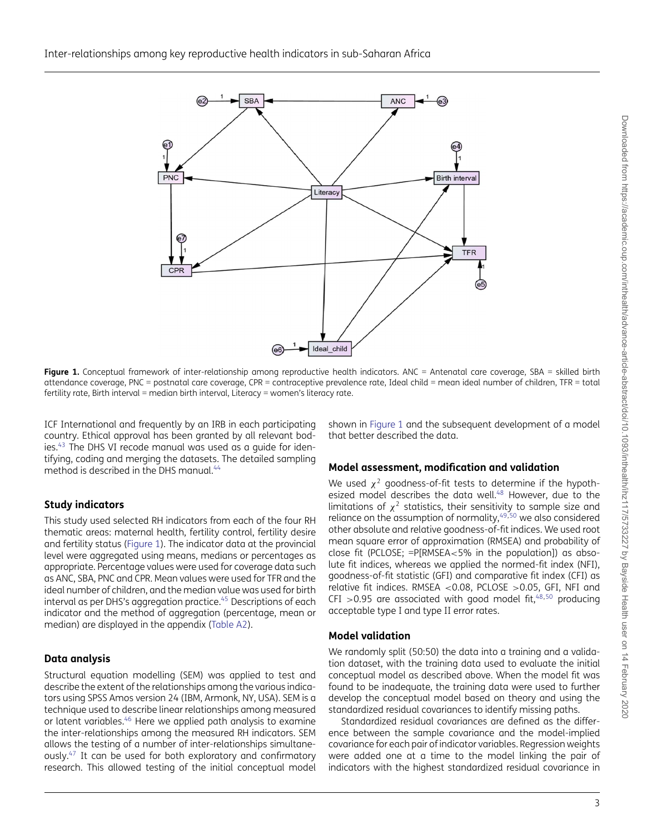

<span id="page-2-0"></span>Figure 1. Conceptual framework of inter-relationship among reproductive health indicators. ANC = Antenatal care coverage, SBA = skilled birth attendance coverage, PNC = postnatal care coverage, CPR = contraceptive prevalence rate, Ideal child = mean ideal number of children, TFR = total fertility rate, Birth interval = median birth interval, Literacy = women's literacy rate.

ICF International and frequently by an IRB in each participating country. Ethical approval has been granted by all relevant bod-ies.<sup>[43](#page-10-11)</sup> The DHS VI recode manual was used as a guide for identifying, coding and merging the datasets. The detailed sampling method is described in the DHS manual.<sup>[44](#page-10-12)</sup>

#### **Study indicators**

This study used selected RH indicators from each of the four RH thematic areas: maternal health, fertility control, fertility desire and fertility status [\(Figure 1\)](#page-2-0). The indicator data at the provincial level were aggregated using means, medians or percentages as appropriate. Percentage values were used for coverage data such as ANC, SBA, PNC and CPR. Mean values were used for TFR and the ideal number of children, and the median value was used for birth interval as per DHS's aggregation practice.<sup>45</sup> Descriptions of each indicator and the method of aggregation (percentage, mean or median) are displayed in the appendix [\(Table A2\)](#page-12-0).

#### **Data analysis**

Structural equation modelling (SEM) was applied to test and describe the extent of the relationships among the various indicators using SPSS Amos version 24 (IBM, Armonk, NY, USA). SEM is a technique used to describe linear relationships among measured or latent variables.<sup>46</sup> Here we applied path analysis to examine the inter-relationships among the measured RH indicators. SEM allows the testing of a number of inter-relationships simultaneously.[47](#page-10-15) It can be used for both exploratory and confirmatory research. This allowed testing of the initial conceptual model

shown in [Figure 1](#page-2-0) and the subsequent development of a model that better described the data.

#### **Model assessment, modification and validation**

We used *χ*<sup>2</sup> goodness-of-fit tests to determine if the hypothesized model describes the data well.<sup>48</sup> However, due to the limitations of  $\chi^2$  statistics, their sensitivity to sample size and reliance on the assumption of normality,  $49,50$  $49,50$  we also considered other absolute and relative goodness-of-fit indices. We used root mean square error of approximation (RMSEA) and probability of close fit (PCLOSE; =P[RMSEA*<*5% in the population]) as absolute fit indices, whereas we applied the normed-fit index (NFI), goodness-of-fit statistic (GFI) and comparative fit index (CFI) as relative fit indices. RMSEA *<*0.08, PCLOSE *>*0.05, GFI, NFI and CFI > 0.95 are associated with good model fit,<sup>48[,50](#page-10-18)</sup> producing acceptable type I and type II error rates.

#### **Model validation**

We randomly split (50:50) the data into a training and a validation dataset, with the training data used to evaluate the initial conceptual model as described above. When the model fit was found to be inadequate, the training data were used to further develop the conceptual model based on theory and using the standardized residual covariances to identify missing paths.

Standardized residual covariances are defined as the difference between the sample covariance and the model-implied covariance for each pair of indicator variables. Regression weights were added one at a time to the model linking the pair of indicators with the highest standardized residual covariance in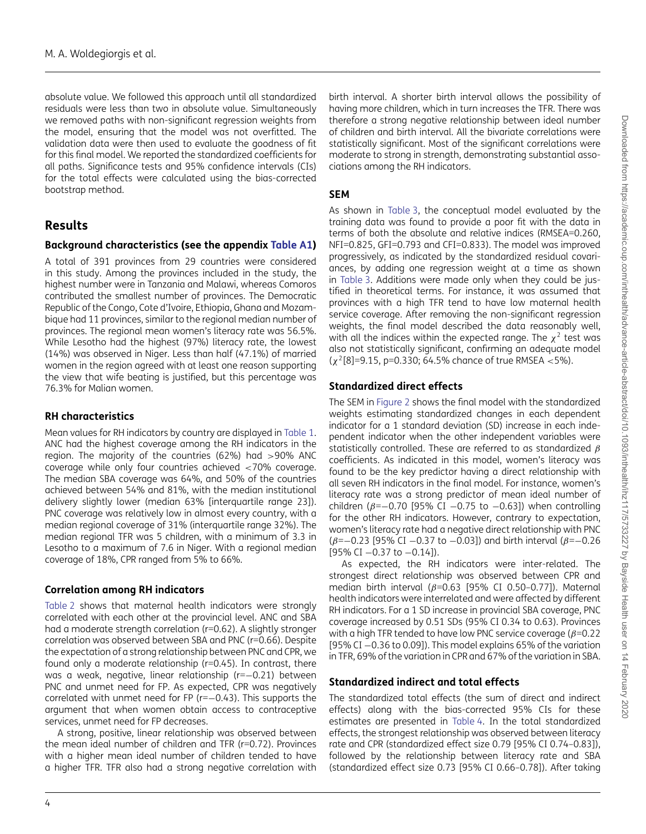absolute value. We followed this approach until all standardized residuals were less than two in absolute value. Simultaneously we removed paths with non-significant regression weights from the model, ensuring that the model was not overfitted. The validation data were then used to evaluate the goodness of fit for this final model. We reported the standardized coefficients for all paths. Significance tests and 95% confidence intervals (CIs) for the total effects were calculated using the bias-corrected bootstrap method.

## **Results**

#### **Background characteristics (see the appendix Table A1)**

A total of 391 provinces from 29 countries were considered in this study. Among the provinces included in the study, the highest number were in Tanzania and Malawi, whereas Comoros contributed the smallest number of provinces. The Democratic Republic of the Congo, Cote d'Ivoire, Ethiopia, Ghana and Mozambique had 11 provinces, similar to the regional median number of provinces. The regional mean women's literacy rate was 56.5%. While Lesotho had the highest (97%) literacy rate, the lowest (14%) was observed in Niger. Less than half (47.1%) of married women in the region agreed with at least one reason supporting the view that wife beating is justified, but this percentage was 76.3% for Malian women.

#### **RH characteristics**

Mean values for RH indicators by country are displayed in [Table 1.](#page-4-0) ANC had the highest coverage among the RH indicators in the region. The majority of the countries (62%) had *>*90% ANC coverage while only four countries achieved *<*70% coverage. The median SBA coverage was 64%, and 50% of the countries achieved between 54% and 81%, with the median institutional delivery slightly lower (median 63% [interquartile range 23]). PNC coverage was relatively low in almost every country, with a median regional coverage of 31% (interquartile range 32%). The median regional TFR was 5 children, with a minimum of 3.3 in Lesotho to a maximum of 7.6 in Niger. With a regional median coverage of 18%, CPR ranged from 5% to 66%.

#### **Correlation among RH indicators**

[Table 2](#page-5-0) shows that maternal health indicators were strongly correlated with each other at the provincial level. ANC and SBA had a moderate strength correlation (r=0.62). A slightly stronger correlation was observed between SBA and PNC (r=0.66). Despite the expectation of a strong relationship between PNC and CPR, we found only a moderate relationship (r=0.45). In contrast, there was a weak, negative, linear relationship (r=−0.21) between PNC and unmet need for FP. As expected, CPR was negatively correlated with unmet need for FP (r=−0.43). This supports the argument that when women obtain access to contraceptive services, unmet need for FP decreases.

A strong, positive, linear relationship was observed between the mean ideal number of children and TFR (r=0.72). Provinces with a higher mean ideal number of children tended to have a higher TFR. TFR also had a strong negative correlation with

birth interval. A shorter birth interval allows the possibility of having more children, which in turn increases the TFR. There was therefore a strong negative relationship between ideal number of children and birth interval. All the bivariate correlations were statistically significant. Most of the significant correlations were moderate to strong in strength, demonstrating substantial associations among the RH indicators.

#### **SEM**

As shown in [Table 3,](#page-5-1) the conceptual model evaluated by the training data was found to provide a poor fit with the data in terms of both the absolute and relative indices (RMSEA=0.260, NFI=0.825, GFI=0.793 and CFI=0.833). The model was improved progressively, as indicated by the standardized residual covariances, by adding one regression weight at a time as shown in [Table 3.](#page-5-1) Additions were made only when they could be justified in theoretical terms. For instance, it was assumed that provinces with a high TFR tend to have low maternal health service coverage. After removing the non-significant regression weights, the final model described the data reasonably well, with all the indices within the expected range. The  $\chi^2$  test was also not statistically significant, confirming an adequate model (*χ*2[8]=9.15, p=0.330; 64.5% chance of true RMSEA *<*5%).

#### **Standardized direct effects**

The SEM in [Figure 2](#page-6-0) shows the final model with the standardized weights estimating standardized changes in each dependent indicator for a 1 standard deviation (SD) increase in each independent indicator when the other independent variables were statistically controlled. These are referred to as standardized *β* coefficients. As indicated in this model, women's literacy was found to be the key predictor having a direct relationship with all seven RH indicators in the final model. For instance, women's literacy rate was a strong predictor of mean ideal number of children (*β*=−0.70 [95% CI −0.75 to −0.63]) when controlling for the other RH indicators. However, contrary to expectation, women's literacy rate had a negative direct relationship with PNC (*β*=−0.23 [95% CI −0.37 to −0.03]) and birth interval (*β*=−0.26 [95% CI -0.37 to -0.14]).

As expected, the RH indicators were inter-related. The strongest direct relationship was observed between CPR and median birth interval (*β*=0.63 [95% CI 0.50–0.77]). Maternal health indicators were interrelated and were affected by different RH indicators. For a 1 SD increase in provincial SBA coverage, PNC coverage increased by 0.51 SDs (95% CI 0.34 to 0.63). Provinces with a high TFR tended to have low PNC service coverage (*β*=0.22 [95% CI −0.36 to 0.09]). This model explains 65% of the variation in TFR, 69% of the variation in CPR and 67% of the variation in SBA.

### **Standardized indirect and total effects**

The standardized total effects (the sum of direct and indirect effects) along with the bias-corrected 95% CIs for these estimates are presented in [Table 4.](#page-7-0) In the total standardized effects, the strongest relationship was observed between literacy rate and CPR (standardized effect size 0.79 [95% CI 0.74–0.83]), followed by the relationship between literacy rate and SBA (standardized effect size 0.73 [95% CI 0.66–0.78]). After taking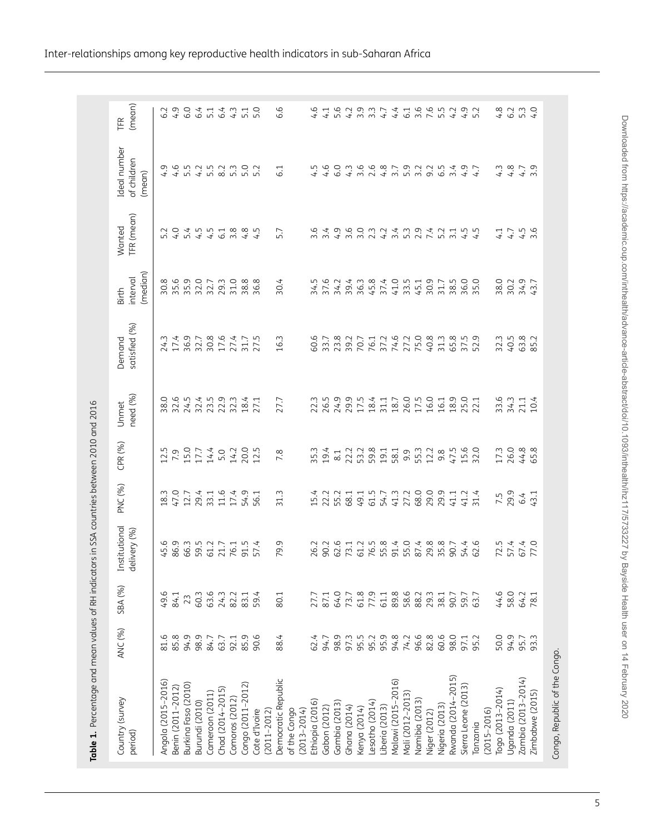| Table 1. Percentage and mean values of RH indicators in SSA countries between 2010 and 2016 |                            |                      |                                                     |                                                             |                                                                         |                      |                                                                                   |                                                       |                                      |                                          |                                            |
|---------------------------------------------------------------------------------------------|----------------------------|----------------------|-----------------------------------------------------|-------------------------------------------------------------|-------------------------------------------------------------------------|----------------------|-----------------------------------------------------------------------------------|-------------------------------------------------------|--------------------------------------|------------------------------------------|--------------------------------------------|
| Country (survey<br>period)                                                                  | <b>ANC (%)</b>             | SBA (%)              | Institutional<br>delivery (%)                       | PNC (%)                                                     | CPR (%)                                                                 | need (%)<br>Unmet    | satisfied (%)<br>Demand                                                           | (median)<br>interval<br>Birth                         | TFR (mean)<br>Wanted                 | Ideal number<br>of children<br>(mean)    | (mean)<br>TFR                              |
| Angola (2015-2016)                                                                          | 81.6                       | 49.6                 | 45.6                                                | 18.3                                                        | 12.5                                                                    | Q<br>38.             | 24.3                                                                              |                                                       | 5.2                                  | 4.9                                      | 6.2                                        |
| Benin (2011-2012)                                                                           | 85.8                       | 84.1                 |                                                     |                                                             |                                                                         |                      |                                                                                   | 8<br>0 5 5 6 7 7 8 9 8 9 8<br>0 6 7 8 9 8 9 8 9 8 9 8 | ムミムムのミムム<br>つんこうこうるう                 |                                          | 4 6 6 1 6 4 1 6 1<br>9 0 4 1 4 10 10 1     |
| Burkina Faso (2010)                                                                         | 94.9                       | 23                   |                                                     |                                                             |                                                                         |                      |                                                                                   |                                                       |                                      |                                          |                                            |
| Burundi (2010)                                                                              | 98.9                       | 60.3                 | 86.3.3.7.7.4.9<br>66.9.2.7.7.4.9<br>80.8.7.7.5.7.4. | 4 1 2 3 3 4 4 5 5<br>6 7 4 5 6 7 4 5 6 7<br>6 7 4 5 6 7 9 7 | 7.9<br>15.07.40<br>14.07.12.01<br>14.02.12.12                           |                      | $17.0884774$ $20.7894774$ $20.78947775$ $20.78947775$                             |                                                       |                                      | G m ci m ci m ci m<br>G m ci m ci m ci m |                                            |
| Cameroon (2011)                                                                             |                            | 63.6                 |                                                     |                                                             |                                                                         |                      |                                                                                   |                                                       |                                      |                                          |                                            |
| Chad (2014-2015)                                                                            | 84.7<br>63.7               |                      |                                                     |                                                             |                                                                         |                      |                                                                                   |                                                       |                                      |                                          |                                            |
| Comoros (2012)                                                                              |                            | 24.3<br>82.2         |                                                     |                                                             |                                                                         |                      |                                                                                   |                                                       |                                      |                                          |                                            |
| Congo (2011-2012)                                                                           | $92.1$<br>$85.9$<br>$90.6$ | 83.1                 |                                                     |                                                             |                                                                         |                      |                                                                                   |                                                       |                                      |                                          |                                            |
|                                                                                             |                            | 59.4                 |                                                     |                                                             |                                                                         |                      |                                                                                   |                                                       |                                      |                                          |                                            |
| Cote d'Ivoire<br>(2011-2012)                                                                |                            |                      |                                                     |                                                             |                                                                         |                      |                                                                                   |                                                       |                                      |                                          |                                            |
| Democratic Republic                                                                         | 88.4                       | 80.1                 | 79.9                                                | 31.3                                                        | 7.8                                                                     | 27.7                 | 16.3                                                                              | 30.4                                                  | 5.7                                  | 61                                       | 6.6                                        |
| of the Congo                                                                                |                            |                      |                                                     |                                                             |                                                                         |                      |                                                                                   |                                                       |                                      |                                          |                                            |
| $(2013 - 2014)$                                                                             |                            |                      |                                                     |                                                             |                                                                         |                      |                                                                                   |                                                       |                                      |                                          |                                            |
| Ethiopia (2016)                                                                             | 62.4                       |                      |                                                     |                                                             | 35.3                                                                    |                      |                                                                                   |                                                       |                                      |                                          |                                            |
| Gabon (2012                                                                                 | 94.7                       | 87.1                 |                                                     |                                                             | 19.4                                                                    | 22.3<br>26.5<br>24.9 |                                                                                   |                                                       |                                      |                                          |                                            |
| Gambia (2013)                                                                               | 98.9                       | 64.0                 |                                                     |                                                             |                                                                         |                      |                                                                                   |                                                       |                                      |                                          |                                            |
| Ghana (2014)                                                                                | 97.5<br>95.7<br>95.9       | 73.7<br>61.8<br>77.9 |                                                     |                                                             | $8.1$ $2.2$ $3.3$ $8.1$ $5.3$ $5.5$ $5.5$ $5.5$ $5.5$ $5.5$ $5.5$ $5.5$ |                      |                                                                                   |                                                       |                                      |                                          |                                            |
| Kenya (2014)                                                                                |                            |                      |                                                     |                                                             |                                                                         |                      |                                                                                   |                                                       |                                      |                                          |                                            |
| Lesotho (2014)                                                                              |                            |                      |                                                     |                                                             |                                                                         |                      |                                                                                   |                                                       |                                      |                                          |                                            |
| Liberia (2013)                                                                              |                            | 61.1                 |                                                     |                                                             |                                                                         |                      |                                                                                   |                                                       |                                      |                                          |                                            |
| Malawi (2015-2016)                                                                          | 94.8                       | 89.8                 |                                                     |                                                             |                                                                         |                      |                                                                                   |                                                       |                                      |                                          |                                            |
| Mali (2012-2013                                                                             | 74.2<br>96.6               | 58.6                 |                                                     |                                                             |                                                                         |                      |                                                                                   |                                                       |                                      |                                          |                                            |
| Namibia (2013)                                                                              |                            | 88.2<br>29.3         | 87.4<br>29.8                                        | 1125646547662512852412564575555                             | 9.3<br>55.3<br>12.2                                                     |                      | 60 7 80 7 7 7 7 80 90 90<br>60 7 80 90 90 7 4 7 90 90<br>60 7 80 90 90 7 90 90 90 | さいとききょうはさんとう 4 にんとうこう 4 にんしつこうしょうひつ 4 にっぽん            | ミュロ らこうこうさうしょう しょううりょう うちょう ういうこうしょう | ちょのうちょうとうこう<br>こうのうちょうこう                 | ムムスラミラトム 10 0.0<br>イムラム 10 0.0 0.0 0.0 0.0 |
| Niger (2012)                                                                                | 82.8                       |                      |                                                     |                                                             |                                                                         |                      |                                                                                   |                                                       |                                      |                                          |                                            |

| Inter-relationships among key reproductive health indicators in sub-Saharan Africa |  |  |  |  |  |
|------------------------------------------------------------------------------------|--|--|--|--|--|
|------------------------------------------------------------------------------------|--|--|--|--|--|

| codo           |
|----------------|
| f the<br>ï     |
| $\ddot{}$<br>ă |
| č              |

Tanzania (2015–2016)

 $(2015 - 2016)$ 

Nigeria (2013) 60.6 38.1 35.8 29.9 9.8 16.1 31.3 31.7 5.2 6.5 5.5 Rwanda (2014–2015) 98.0 90.7 90.7 41.1 47.5 18.9 65.8 38.5 3.1 3.4 4.2 Sierra Leone (2013) 97.1 59.7 59.7 59.7 59.7.5 59.7.5 59.7.5 59.7.5 4.5 4.5 4.9 4.9

 $9.\overline{8}$ 

29.9 41.1 41.2

16.1

95.2 63.7 62.6 31.4 32.0 22.1 52.9 35.0 4.5 4.7 5.2

 $18.9$ <br> $25.0$ <br> $22.1$ 

 $47.5$ <br> $15.6$ <br> $32.0$ 

90.7<br>59.7

63.7

95.2

38.1

60.6 98.0<br>97.1

Rwanda (2014-2015)

<span id="page-4-0"></span>Nigeria (2013)

Sierra Leone (2013)

31.4

38.0<br>36.0<br>35.0

31.3<br>55.8<br>57.9

Togo (2013–2014) 50.0 44.6 72.5 7.5 17.3 33.6 32.3 38.0 4.1 4.3 4.8 Uganda (2011) 94.9 58.0 57.4 29.9 26.0 34.3 40.5 30.2 4.7 4.8 6.2 Zambia (2013–2014) 95.7 64.2 67.4 6.4 44.8 21.1 63.8 34.9 4.5 4.7 5.3 Zimbabwe (2015) 93.3 78.1 78.1 43.1 43.1 43.2 5.5.2 43.7 4.3 9.5 9.3 9.5 4.0

17.3 26.0 44.8<br>65.8

 $7.5$ <br>29.9

44.6 58.0 64.2<br>78.1

50.0<br>94.9

Toqo (2013-2014)

Uganda (2011)

95.7<br>93.3

Zambia (2013-2014)

Zimbabwe (2015)

 $6.4$ <br>43.1

72.5<br>57.4<br>67.4<br>77.0

33.4<br>34.3<br>10.4

32.3<br>40.5

 $4.0.04$ 

 $4.3$ <br> $4.4$   $7.9$ <br> $3.9$ 

 $4.5$ <br>3.6 4.7  $4.1$ 

63.8<br>85.2

| I<br>J                        |
|-------------------------------|
| I<br>J                        |
| $\sim$<br>5                   |
| )                             |
| ļ<br>١                        |
| j<br>2<br>¢<br>)              |
| Ś<br>2                        |
| ł<br>ï<br>j                   |
| j                             |
| j                             |
| j<br>$\ddot{\phantom{0}}$     |
| Í<br>j                        |
|                               |
| í<br>Ś<br>١                   |
| j<br>Ī<br>Š<br>١              |
| ļ<br>Ż                        |
| $\ddot{\cdot}$<br>5<br>Į      |
|                               |
| $\ddot{ }$<br>$\frac{1}{2}$   |
| ś                             |
| 5<br>٦<br>;                   |
| )                             |
| $\overline{\phantom{a}}$<br>į |
|                               |
| ֧֕֜֡֜֡֜֡                      |
| i<br>Ĵ                        |
| j<br>$\frac{1}{2}$<br>j       |
| t<br>J                        |
| í<br>ĭ                        |
| S<br>į                        |
| ļ<br>j                        |
| Ĵ<br>į                        |
| $-9$<br>Í                     |
| j                             |
| מו ה.<br>וב<br>כ<br>ï         |
| p-ain                         |
| j                             |
| ī<br>j                        |
| Ō<br>J                        |
| ċ<br>j<br>Ç<br>١              |
| $\overline{\phantom{a}}$<br>έ |
| S                             |
|                               |
|                               |
| lor.<br>i<br>ı                |
| l                             |
| j                             |
| Ó<br>j<br>i<br>j              |
| i<br>5                        |
|                               |
|                               |
| l<br>١<br>١<br>١              |
| ורוח                          |
|                               |
|                               |
| j                             |
| j                             |
| Į<br>i                        |
| Į                             |
| $\overline{6}$<br>ر<br>ز      |
| $\ddot{\phantom{0}}$<br>Į     |
| 5<br>כ<br>ļ<br>j<br>i         |
| ₹<br>Ï                        |
|                               |
| I<br>J<br>j                   |
| ŷ<br>ġ<br>ć                   |
| $\overline{a}$                |
| bisy                          |
| $\tilde{a}$                   |
| 그<br>군<br>j                   |
| è<br>j<br>١                   |
| i<br>É                        |
|                               |
| á<br>5                        |
| j<br>Ď<br>ŧ                   |
| $\subseteq$<br>ţ              |
|                               |
| Į                             |
| l<br>1                        |
|                               |
| $\frac{1}{2}$<br>phri         |
| Ś<br>j<br>l                   |
| j                             |
| l<br>j                        |
| Ċ<br>١<br>ľ<br>١              |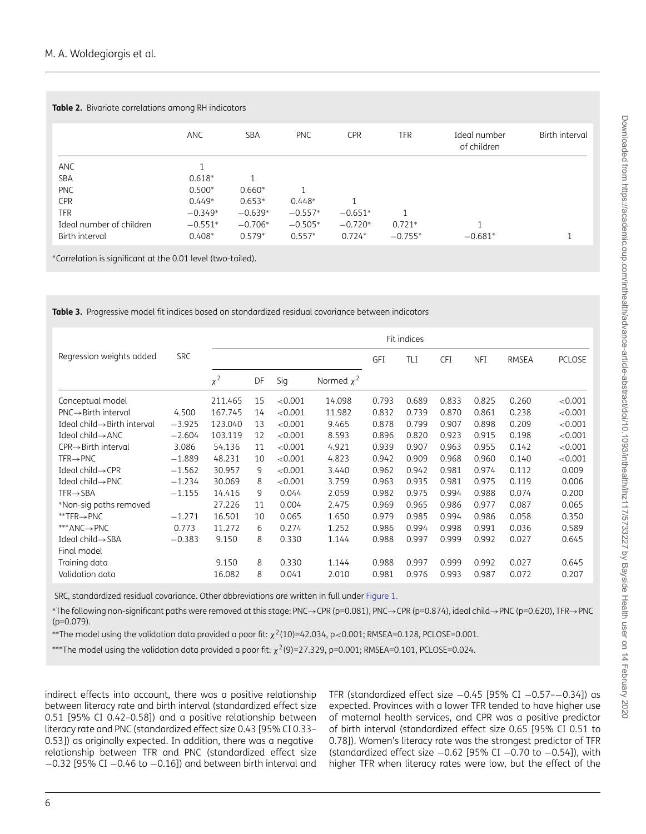| <b>Table 2.</b> Bivariate correlations among RH indicators |           |            |            |            |            |                             |                |
|------------------------------------------------------------|-----------|------------|------------|------------|------------|-----------------------------|----------------|
|                                                            | ANC       | <b>SBA</b> | <b>PNC</b> | <b>CPR</b> | <b>TFR</b> | Ideal number<br>of children | Birth interval |
| <b>ANC</b>                                                 |           |            |            |            |            |                             |                |
| SBA                                                        | $0.618*$  |            |            |            |            |                             |                |
| <b>PNC</b>                                                 | $0.500*$  | $0.660*$   |            |            |            |                             |                |
| <b>CPR</b>                                                 | $0.449*$  | $0.653*$   | $0.448*$   |            |            |                             |                |
| <b>TFR</b>                                                 | $-0.349*$ | $-0.639*$  | $-0.557*$  | $-0.651*$  |            |                             |                |
| Ideal number of children                                   | $-0.551*$ | $-0.706*$  | $-0.505*$  | $-0.720*$  | $0.721*$   | 1                           |                |
| Birth interval                                             | $0.408*$  | $0.579*$   | $0.557*$   | $0.724*$   | $-0.755*$  | $-0.681*$                   |                |

<span id="page-5-0"></span>∗Correlation is significant at the 0.01 level (two-tailed).

**Table 3.** Progressive model fit indices based on standardized residual covariance between indicators

|                                              |            |         |    |         |                 |       | Fit indices |       |            |              |               |
|----------------------------------------------|------------|---------|----|---------|-----------------|-------|-------------|-------|------------|--------------|---------------|
| Regression weights added                     | <b>SRC</b> |         |    |         |                 | GFI   | TLI         | CFI   | <b>NFI</b> | <b>RMSEA</b> | <b>PCLOSE</b> |
|                                              |            | $x^2$   | DF | Sig     | Normed $\chi^2$ |       |             |       |            |              |               |
| Conceptual model                             |            | 211.465 | 15 | < 0.001 | 14.098          | 0.793 | 0.689       | 0.833 | 0.825      | 0.260        | < 0.001       |
| $PNC \rightarrow Birth$ interval             | 4.500      | 167.745 | 14 | < 0.001 | 11.982          | 0.832 | 0.739       | 0.870 | 0.861      | 0.238        | < 0.001       |
| Ideal child $\rightarrow$ Birth interval     | $-3.925$   | 123.040 | 13 | < 0.001 | 9.465           | 0.878 | 0.799       | 0.907 | 0.898      | 0.209        | < 0.001       |
| Ideal child $\rightarrow$ ANC                | $-2.604$   | 103.119 | 12 | < 0.001 | 8.593           | 0.896 | 0.820       | 0.923 | 0.915      | 0.198        | < 0.001       |
| $CPR \rightarrow Birth$ interval             | 3.086      | 54.136  | 11 | < 0.001 | 4.921           | 0.939 | 0.907       | 0.963 | 0.955      | 0.142        | < 0.001       |
| $TFR \rightarrow PNC$                        | $-1.889$   | 48.231  | 10 | < 0.001 | 4.823           | 0.942 | 0.909       | 0.968 | 0.960      | 0.140        | < 0.001       |
| Ideal child $\rightarrow$ CPR                | $-1.562$   | 30.957  | 9  | < 0.001 | 3.440           | 0.962 | 0.942       | 0.981 | 0.974      | 0.112        | 0.009         |
| Ideal child $\rightarrow$ PNC                | $-1.234$   | 30.069  | 8  | < 0.001 | 3.759           | 0.963 | 0.935       | 0.981 | 0.975      | 0.119        | 0.006         |
| $TFR \rightarrow SBA$                        | $-1.155$   | 14.416  | 9  | 0.044   | 2.059           | 0.982 | 0.975       | 0.994 | 0.988      | 0.074        | 0.200         |
| *Non-sig paths removed                       |            | 27.226  | 11 | 0.004   | 2.475           | 0.969 | 0.965       | 0.986 | 0.977      | 0.087        | 0.065         |
| $*$ *TFR→PNC                                 | $-1.271$   | 16.501  | 10 | 0.065   | 1.650           | 0.979 | 0.985       | 0.994 | 0.986      | 0.058        | 0.350         |
| *** ANC $\rightarrow$ PNC                    | 0.773      | 11.272  | 6  | 0.274   | 1.252           | 0.986 | 0.994       | 0.998 | 0.991      | 0.036        | 0.589         |
| Ideal child $\rightarrow$ SBA<br>Final model | $-0.383$   | 9.150   | 8  | 0.330   | 1.144           | 0.988 | 0.997       | 0.999 | 0.992      | 0.027        | 0.645         |
| Training data                                |            | 9.150   | 8  | 0.330   | 1.144           | 0.988 | 0.997       | 0.999 | 0.992      | 0.027        | 0.645         |
| Validation data                              |            | 16.082  | 8  | 0.041   | 2.010           | 0.981 | 0.976       | 0.993 | 0.987      | 0.072        | 0.207         |

<span id="page-5-1"></span>SRC, standardized residual covariance. Other abbreviations are written in full under [Figure 1.](#page-2-0)

<sup>∗</sup>The following non-significant paths were removed at this stage: PNC→CPR (p=0.081), PNC→CPR (p=0.874), ideal child→PNC (p=0.620), TFR→PNC (p=0.079).

∗∗The model using the validation data provided a poor fit: *χ*2(10)=42.034, p*<*0.001; RMSEA=0.128, PCLOSE=0.001.

∗∗∗The model using the validation data provided a poor fit: *χ*2(9)=27.329, p=0.001; RMSEA=0.101, PCLOSE=0.024.

indirect effects into account, there was a positive relationship between literacy rate and birth interval (standardized effect size 0.51 [95% CI 0.42–0.58]) and a positive relationship between literacy rate and PNC (standardized effect size 0.43 [95% CI 0.33– 0.53]) as originally expected. In addition, there was a negative relationship between TFR and PNC (standardized effect size −0.32 [95% CI −0.46 to −0.16]) and between birth interval and

TFR (standardized effect size -0.45 [95% CI -0.57--0.34]) as expected. Provinces with a lower TFR tended to have higher use of maternal health services, and CPR was a positive predictor of birth interval (standardized effect size 0.65 [95% CI 0.51 to 0.78]). Women's literacy rate was the strongest predictor of TFR (standardized effect size −0.62 [95% CI −0.70 to −0.54]), with higher TFR when literacy rates were low, but the effect of the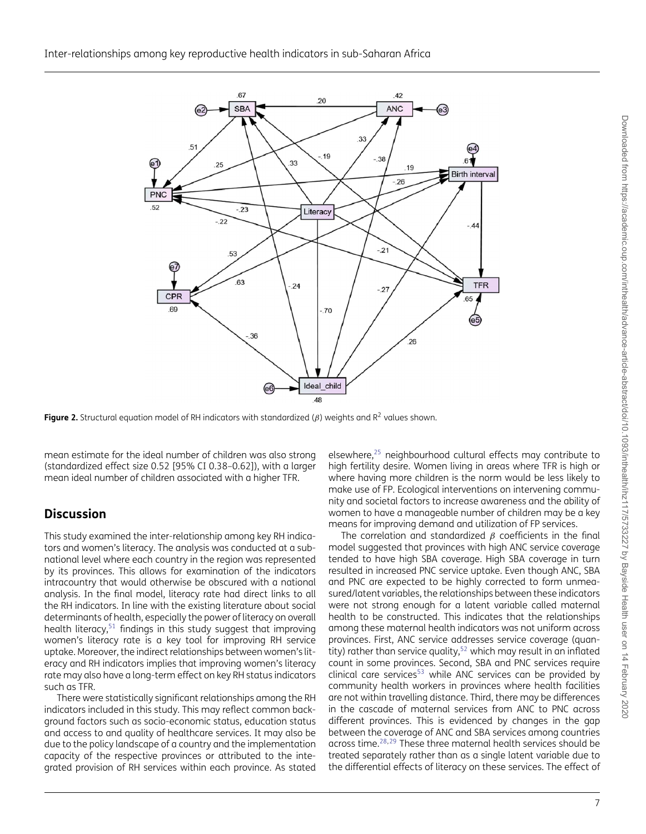

<span id="page-6-0"></span>**Figure 2.** Structural equation model of RH indicators with standardized (*β*) weights and R<sup>2</sup> values shown.

mean estimate for the ideal number of children was also strong (standardized effect size 0.52 [95% CI 0.38–0.62]), with a larger mean ideal number of children associated with a higher TFR.

### **Discussion**

This study examined the inter-relationship among key RH indicators and women's literacy. The analysis was conducted at a subnational level where each country in the region was represented by its provinces. This allows for examination of the indicators intracountry that would otherwise be obscured with a national analysis. In the final model, literacy rate had direct links to all the RH indicators. In line with the existing literature about social determinants of health, especially the power of literacy on overall health literacy,<sup>51</sup> findings in this study suggest that improving women's literacy rate is a key tool for improving RH service uptake. Moreover, the indirect relationships between women's literacy and RH indicators implies that improving women's literacy rate may also have a long-term effect on key RH status indicators such as TFR.

There were statistically significant relationships among the RH indicators included in this study. This may reflect common background factors such as socio-economic status, education status and access to and quality of healthcare services. It may also be due to the policy landscape of a country and the implementation capacity of the respective provinces or attributed to the integrated provision of RH services within each province. As stated

elsewhere,<sup>25</sup> neighbourhood cultural effects may contribute to high fertility desire. Women living in areas where TFR is high or where having more children is the norm would be less likely to make use of FP. Ecological interventions on intervening community and societal factors to increase awareness and the ability of women to have a manageable number of children may be a key means for improving demand and utilization of FP services.

The correlation and standardized *β* coefficients in the final model suggested that provinces with high ANC service coverage tended to have high SBA coverage. High SBA coverage in turn resulted in increased PNC service uptake. Even though ANC, SBA and PNC are expected to be highly corrected to form unmeasured/latent variables, the relationships between these indicators were not strong enough for a latent variable called maternal health to be constructed. This indicates that the relationships among these maternal health indicators was not uniform across provinces. First, ANC service addresses service coverage (quan-tity) rather than service quality,<sup>[52](#page-10-20)</sup> which may result in an inflated count in some provinces. Second, SBA and PNC services require clinical care services<sup>53</sup> while ANC services can be provided by community health workers in provinces where health facilities are not within travelling distance. Third, there may be differences in the cascade of maternal services from ANC to PNC across different provinces. This is evidenced by changes in the gap between the coverage of ANC and SBA services among countries across time.[28](#page-9-28)[,29](#page-9-29) These three maternal health services should be treated separately rather than as a single latent variable due to the differential effects of literacy on these services. The effect of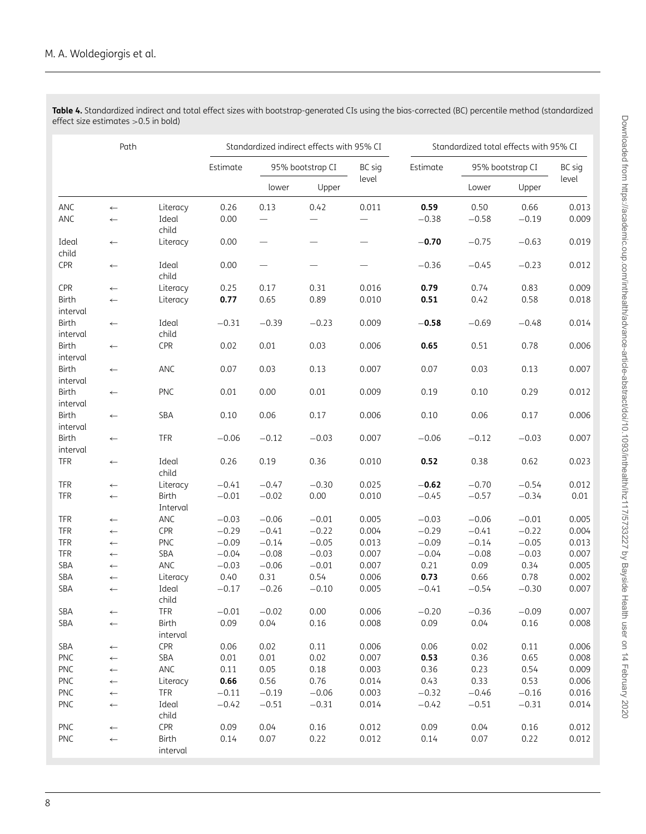<span id="page-7-0"></span>

| Path              |              |                   |          | Standardized indirect effects with 95% CI |                               | Standardized total effects with 95% CI |          |         |                  |        |
|-------------------|--------------|-------------------|----------|-------------------------------------------|-------------------------------|----------------------------------------|----------|---------|------------------|--------|
|                   |              |                   | Estimate |                                           | 95% bootstrap CI              | BC sig                                 | Estimate |         | 95% bootstrap CI | BC sig |
|                   |              |                   |          | lower                                     | Upper                         | level                                  |          | Lower   | Upper            | level  |
| <b>ANC</b>        | $\leftarrow$ | Literacy          | 0.26     | 0.13                                      | 0.42                          | 0.011                                  | 0.59     | 0.50    | 0.66             | 0.013  |
| ANC               | $\leftarrow$ | Ideal<br>child    | 0.00     |                                           |                               |                                        | $-0.38$  | $-0.58$ | $-0.19$          | 0.009  |
| Ideal<br>child    | $\leftarrow$ | Literacy          | 0.00     |                                           | $\overbrace{\phantom{13333}}$ |                                        | $-0.70$  | $-0.75$ | $-0.63$          | 0.019  |
| <b>CPR</b>        | $\leftarrow$ | Ideal<br>child    | 0.00     | $\overline{\phantom{0}}$                  | $\qquad \qquad$               |                                        | $-0.36$  | $-0.45$ | $-0.23$          | 0.012  |
| CPR               | $\leftarrow$ | Literacy          | 0.25     | 0.17                                      | 0.31                          | 0.016                                  | 0.79     | 0.74    | 0.83             | 0.009  |
| Birth<br>interval | $\leftarrow$ | Literacy          | 0.77     | 0.65                                      | 0.89                          | 0.010                                  | 0.51     | 0.42    | 0.58             | 0.018  |
| Birth<br>interval | $\leftarrow$ | Ideal<br>child    | $-0.31$  | $-0.39$                                   | $-0.23$                       | 0.009                                  | $-0.58$  | $-0.69$ | $-0.48$          | 0.014  |
| Birth<br>interval | $\leftarrow$ | CPR               | 0.02     | 0.01                                      | 0.03                          | 0.006                                  | 0.65     | 0.51    | 0.78             | 0.006  |
| Birth<br>interval | $\leftarrow$ | ANC               | 0.07     | 0.03                                      | 0.13                          | 0.007                                  | 0.07     | 0.03    | 0.13             | 0.007  |
| Birth<br>interval | $\leftarrow$ | <b>PNC</b>        | 0.01     | 0.00                                      | 0.01                          | 0.009                                  | 0.19     | 0.10    | 0.29             | 0.012  |
| Birth<br>interval | $\leftarrow$ | SBA               | 0.10     | 0.06                                      | 0.17                          | 0.006                                  | 0.10     | 0.06    | 0.17             | 0.006  |
| Birth<br>interval | $\leftarrow$ | <b>TFR</b>        | $-0.06$  | $-0.12$                                   | $-0.03$                       | 0.007                                  | $-0.06$  | $-0.12$ | $-0.03$          | 0.007  |
| <b>TFR</b>        | $\leftarrow$ | Ideal<br>child    | 0.26     | 0.19                                      | 0.36                          | 0.010                                  | 0.52     | 0.38    | 0.62             | 0.023  |
| <b>TFR</b>        | $\leftarrow$ | Literacy          | $-0.41$  | $-0.47$                                   | $-0.30$                       | 0.025                                  | $-0.62$  | $-0.70$ | $-0.54$          | 0.012  |
| <b>TFR</b>        | $\leftarrow$ | Birth<br>Interval | $-0.01$  | $-0.02$                                   | 0.00                          | 0.010                                  | $-0.45$  | $-0.57$ | $-0.34$          | 0.01   |
| <b>TFR</b>        | $\leftarrow$ | ANC               | $-0.03$  | $-0.06$                                   | $-0.01$                       | 0.005                                  | $-0.03$  | $-0.06$ | $-0.01$          | 0.005  |
| <b>TFR</b>        | $\leftarrow$ | CPR               | $-0.29$  | $-0.41$                                   | $-0.22$                       | 0.004                                  | $-0.29$  | $-0.41$ | $-0.22$          | 0.004  |
| <b>TFR</b>        | $\leftarrow$ | <b>PNC</b>        | $-0.09$  | $-0.14$                                   | $-0.05$                       | 0.013                                  | $-0.09$  | $-0.14$ | $-0.05$          | 0.013  |
| <b>TFR</b>        | $\leftarrow$ | SBA               | $-0.04$  | $-0.08$                                   | $-0.03$                       | 0.007                                  | $-0.04$  | $-0.08$ | $-0.03$          | 0.007  |
| SBA               | $\leftarrow$ | ANC               | $-0.03$  | $-0.06$                                   | $-0.01$                       | 0.007                                  | 0.21     | 0.09    | 0.34             | 0.005  |
| SBA               | $\leftarrow$ | Literacy          | 0.40     | 0.31                                      | 0.54                          | 0.006                                  | 0.73     | 0.66    | 0.78             | 0.002  |
| SBA               | $\leftarrow$ | Ideal<br>child    | $-0.17$  | $-0.26$                                   | $-0.10$                       | 0.005                                  | $-0.41$  | $-0.54$ | $-0.30$          | 0.007  |
| SBA               | $\leftarrow$ | <b>TFR</b>        | $-0.01$  | $-0.02$                                   | 0.00                          | 0.006                                  | $-0.20$  | $-0.36$ | $-0.09$          | 0.007  |
| SBA               | $\leftarrow$ | Birth<br>interval | 0.09     | 0.04                                      | 0.16                          | 0.008                                  | 0.09     | 0.04    | 0.16             | 0.008  |
| SBA               | $\leftarrow$ | CPR               | 0.06     | 0.02                                      | 0.11                          | 0.006                                  | 0.06     | 0.02    | 0.11             | 0.006  |
| PNC               | $\leftarrow$ | SBA               | 0.01     | 0.01                                      | 0.02                          | 0.007                                  | 0.53     | 0.36    | 0.65             | 0.008  |
| PNC               | $\leftarrow$ | ANC               | 0.11     | 0.05                                      | 0.18                          | 0.003                                  | 0.36     | 0.23    | 0.54             | 0.009  |
| PNC               | $\leftarrow$ | Literacy          | 0.66     | 0.56                                      | 0.76                          | 0.014                                  | 0.43     | 0.33    | 0.53             | 0.006  |
| PNC               | $\leftarrow$ | <b>TFR</b>        | $-0.11$  | $-0.19$                                   | $-0.06$                       | 0.003                                  | $-0.32$  | $-0.46$ | $-0.16$          | 0.016  |
| <b>PNC</b>        | $\leftarrow$ | Ideal<br>child    | $-0.42$  | $-0.51$                                   | $-0.31$                       | 0.014                                  | $-0.42$  | $-0.51$ | $-0.31$          | 0.014  |
| PNC               | $\leftarrow$ | <b>CPR</b>        | 0.09     | 0.04                                      | 0.16                          | 0.012                                  | 0.09     | 0.04    | 0.16             | 0.012  |
| <b>PNC</b>        | $\leftarrow$ | Birth<br>interval | 0.14     | 0.07                                      | 0.22                          | 0.012                                  | 0.14     | 0.07    | 0.22             | 0.012  |

**Table 4.** Standardized indirect and total effect sizes with bootstrap-generated CIs using the bias-corrected (BC) percentile method (standardized effect size estimates *>*0.5 in bold)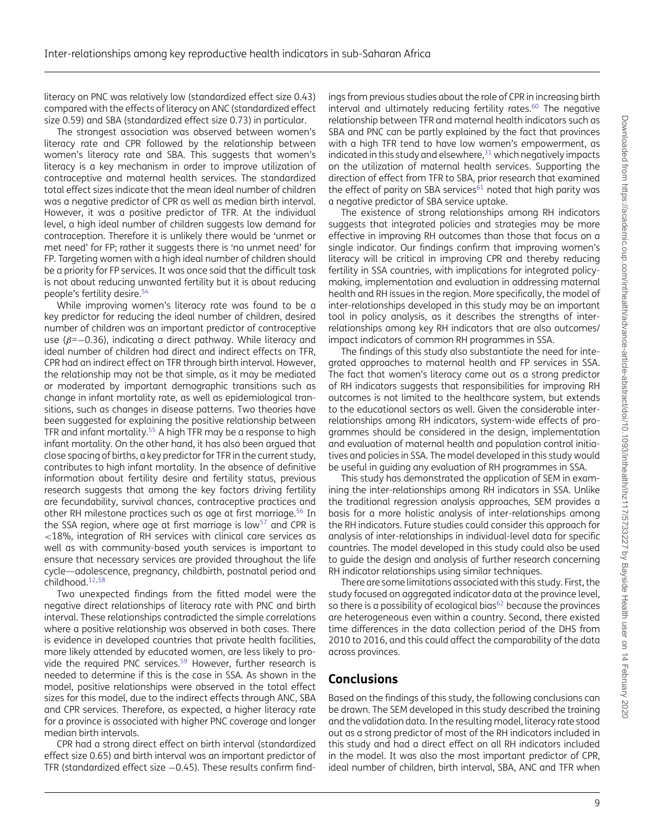literacy on PNC was relatively low (standardized effect size 0.43) compared with the effects of literacy on ANC (standardized effect size 0.59) and SBA (standardized effect size 0.73) in particular.

The strongest association was observed between women's literacy rate and CPR followed by the relationship between women's literacy rate and SBA. This suggests that women's literacy is a key mechanism in order to improve utilization of contraceptive and maternal health services. The standardized total effect sizes indicate that the mean ideal number of children was a negative predictor of CPR as well as median birth interval. However, it was a positive predictor of TFR. At the individual level, a high ideal number of children suggests low demand for contraception. Therefore it is unlikely there would be 'unmet or met need' for FP; rather it suggests there is 'no unmet need' for FP. Targeting women with a high ideal number of children should be a priority for FP services. It was once said that the difficult task is not about reducing unwanted fertility but it is about reducing people's fertility desire[.54](#page-10-22)

While improving women's literacy rate was found to be a key predictor for reducing the ideal number of children, desired number of children was an important predictor of contraceptive use (*β*=−0.36), indicating a direct pathway. While literacy and ideal number of children had direct and indirect effects on TFR, CPR had an indirect effect on TFR through birth interval. However, the relationship may not be that simple, as it may be mediated or moderated by important demographic transitions such as change in infant mortality rate, as well as epidemiological transitions, such as changes in disease patterns. Two theories have been suggested for explaining the positive relationship between TFR and infant mortality[.55](#page-10-23) A high TFR may be a response to high infant mortality. On the other hand, it has also been argued that close spacing of births, a key predictor for TFR in the current study, contributes to high infant mortality. In the absence of definitive information about fertility desire and fertility status, previous research suggests that among the key factors driving fertility are fecundability, survival chances, contraceptive practices and other RH milestone practices such as age at first marriage[.56](#page-10-24) In the SSA region, where age at first marriage is low<sup>57</sup> and CPR is *<*18%, integration of RH services with clinical care services as well as with community-based youth services is important to ensure that necessary services are provided throughout the life cycle—adolescence, pregnancy, childbirth, postnatal period and childhood.[12,](#page-9-11)[58](#page-10-26)

Two unexpected findings from the fitted model were the negative direct relationships of literacy rate with PNC and birth interval. These relationships contradicted the simple correlations where a positive relationship was observed in both cases. There is evidence in developed countries that private health facilities, more likely attended by educated women, are less likely to provide the required PNC services.<sup>59</sup> However, further research is needed to determine if this is the case in SSA. As shown in the model, positive relationships were observed in the total effect sizes for this model, due to the indirect effects through ANC, SBA and CPR services. Therefore, as expected, a higher literacy rate for a province is associated with higher PNC coverage and longer median birth intervals.

CPR had a strong direct effect on birth interval (standardized effect size 0.65) and birth interval was an important predictor of TFR (standardized effect size -0.45). These results confirm findings from previous studies about the role of CPR in increasing birth interval and ultimately reducing fertility rates.<sup>60</sup> The negative relationship between TFR and maternal health indicators such as SBA and PNC can be partly explained by the fact that provinces with a high TFR tend to have low women's empowerment, as indicated in this study and elsewhere, $31$  which negatively impacts on the utilization of maternal health services. Supporting the direction of effect from TFR to SBA, prior research that examined the effect of parity on SBA services<sup>61</sup> noted that high parity was a negative predictor of SBA service uptake.

The existence of strong relationships among RH indicators suggests that integrated policies and strategies may be more effective in improving RH outcomes than those that focus on a single indicator. Our findings confirm that improving women's literacy will be critical in improving CPR and thereby reducing fertility in SSA countries, with implications for integrated policymaking, implementation and evaluation in addressing maternal health and RH issues in the region. More specifically, the model of inter-relationships developed in this study may be an important tool in policy analysis, as it describes the strengths of interrelationships among key RH indicators that are also outcomes/ impact indicators of common RH programmes in SSA.

The findings of this study also substantiate the need for integrated approaches to maternal health and FP services in SSA. The fact that women's literacy came out as a strong predictor of RH indicators suggests that responsibilities for improving RH outcomes is not limited to the healthcare system, but extends to the educational sectors as well. Given the considerable interrelationships among RH indicators, system-wide effects of programmes should be considered in the design, implementation and evaluation of maternal health and population control initiatives and policies in SSA. The model developed in this study would be useful in guiding any evaluation of RH programmes in SSA.

This study has demonstrated the application of SEM in examining the inter-relationships among RH indicators in SSA. Unlike the traditional regression analysis approaches, SEM provides a basis for a more holistic analysis of inter-relationships among the RH indicators. Future studies could consider this approach for analysis of inter-relationships in individual-level data for specific countries. The model developed in this study could also be used to guide the design and analysis of further research concerning RH indicator relationships using similar techniques.

There are some limitations associated with this study. First, the study focused on aggregated indicator data at the province level, so there is a possibility of ecological bias $62$  because the provinces are heterogeneous even within a country. Second, there existed time differences in the data collection period of the DHS from 2010 to 2016, and this could affect the comparability of the data across provinces.

### **Conclusions**

Based on the findings of this study, the following conclusions can be drawn. The SEM developed in this study described the training and the validation data. In the resulting model, literacy rate stood out as a strong predictor of most of the RH indicators included in this study and had a direct effect on all RH indicators included in the model. It was also the most important predictor of CPR, ideal number of children, birth interval, SBA, ANC and TFR when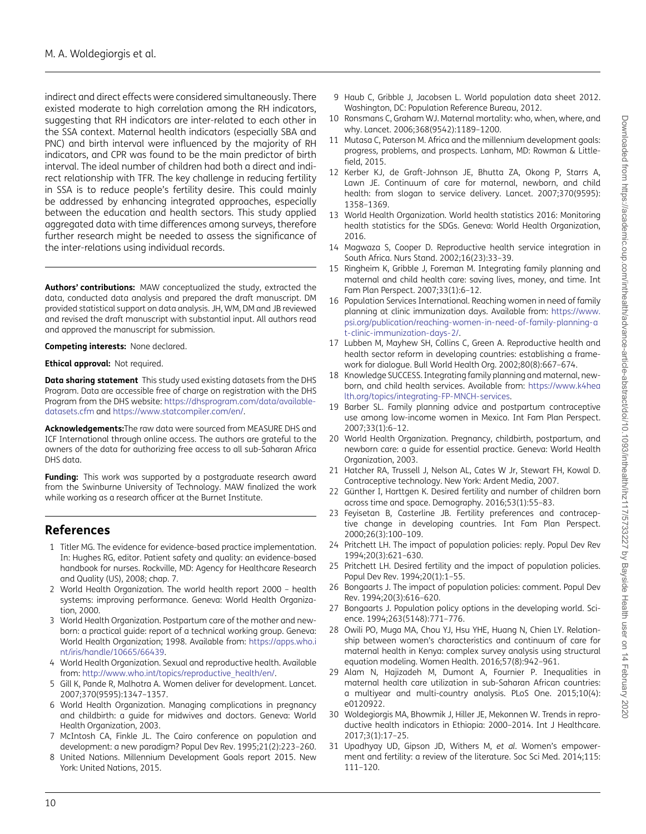indirect and direct effects were considered simultaneously. There existed moderate to high correlation among the RH indicators, suggesting that RH indicators are inter-related to each other in the SSA context. Maternal health indicators (especially SBA and PNC) and birth interval were influenced by the majority of RH indicators, and CPR was found to be the main predictor of birth interval. The ideal number of children had both a direct and indirect relationship with TFR. The key challenge in reducing fertility in SSA is to reduce people's fertility desire. This could mainly be addressed by enhancing integrated approaches, especially between the education and health sectors. This study applied aggregated data with time differences among surveys, therefore further research might be needed to assess the significance of the inter-relations using individual records.

**Authors' contributions:** MAW conceptualized the study, extracted the data, conducted data analysis and prepared the draft manuscript. DM provided statistical support on data analysis. JH, WM, DM and JB reviewed and revised the draft manuscript with substantial input. All authors read and approved the manuscript for submission.

**Competing interests:** None declared.

**Ethical approval:** Not required.

**Data sharing statement** This study used existing datasets from the DHS Program. Data are accessible free of charge on registration with the DHS Program from the DHS website: [https://dhsprogram.com/data/available](https://dhsprogram.com/data/available-datasets.cfm)[datasets.cfm](https://dhsprogram.com/data/available-datasets.cfm) and [https://www.statcompiler.com/en/.](https://www.statcompiler.com/en/)

**Acknowledgements:**The raw data were sourced from MEASURE DHS and ICF International through online access. The authors are grateful to the owners of the data for authorizing free access to all sub-Saharan Africa DHS data.

**Funding:** This work was supported by a postgraduate research award from the Swinburne University of Technology. MAW finalized the work while working as a research officer at the Burnet Institute.

## **References**

- <span id="page-9-0"></span>1 Titler MG. The evidence for evidence-based practice implementation. In: Hughes RG, editor. Patient safety and quality: an evidence-based handbook for nurses. Rockville, MD: Agency for Healthcare Research and Quality (US), 2008; chap. 7.
- <span id="page-9-1"></span>2 World Health Organization. The world health report 2000 – health systems: improving performance. Geneva: World Health Organization, 2000.
- <span id="page-9-2"></span>3 World Health Organization. Postpartum care of the mother and newborn: a practical guide: report of a technical working group. Geneva: World Health Organization; 1998. Available from: [https://apps.who.i](https://apps.who.int/iris/handle/10665/66439) [nt/iris/handle/10665/66439.](https://apps.who.int/iris/handle/10665/66439)
- <span id="page-9-3"></span>4 World Health Organization. Sexual and reproductive health. Available from: [http://www.who.int/topics/reproductive\\_health/en/.](http://www.who.int/topics/reproductive_health/en/)
- <span id="page-9-4"></span>5 Gill K, Pande R, Malhotra A. Women deliver for development. Lancet. 2007;370(9595):1347–1357.
- <span id="page-9-5"></span>6 World Health Organization. Managing complications in pregnancy and childbirth: a guide for midwives and doctors. Geneva: World Health Organization, 2003.
- <span id="page-9-6"></span>7 McIntosh CA, Finkle JL. The Cairo conference on population and development: a new paradigm? Popul Dev Rev. 1995;21(2):223–260.
- <span id="page-9-7"></span>8 United Nations. Millennium Development Goals report 2015. New York: United Nations, 2015.
- <span id="page-9-8"></span>9 Haub C, Gribble J, Jacobsen L. World population data sheet 2012. Washington, DC: Population Reference Bureau, 2012.
- <span id="page-9-9"></span>10 Ronsmans C, Graham WJ. Maternal mortality: who, when, where, and why. Lancet. 2006;368(9542):1189–1200.
- <span id="page-9-10"></span>11 Mutasa C, Paterson M. Africa and the millennium development goals: progress*,* problems, and prospects. Lanham, MD: Rowman & Littlefield, 2015.
- <span id="page-9-11"></span>12 Kerber KJ, de Graft-Johnson JE, Bhutta ZA, Okong P, Starrs A, Lawn JE. Continuum of care for maternal, newborn, and child health: from slogan to service delivery. Lancet. 2007;370(9595): 1358–1369.
- <span id="page-9-12"></span>13 World Health Organization. World health statistics 2016: Monitoring health statistics for the SDGs. Geneva: World Health Organization, 2016.
- <span id="page-9-13"></span>14 Magwaza S, Cooper D. Reproductive health service integration in South Africa. Nurs Stand. 2002;16(23):33–39.
- <span id="page-9-14"></span>15 Ringheim K, Gribble J, Foreman M. Integrating family planning and maternal and child health care: saving lives, money, and time. Int Fam Plan Perspect. 2007;33(1):6–12.
- <span id="page-9-15"></span>16 Population Services International. Reaching women in need of family planning at clinic immunization days. Available from: [https://www.](https://www.psi.org/publication/reaching-women-in-need-of-family-planning-at-clinic-immunization-days-2/) [psi.org/publication/reaching-women-in-need-of-family-planning-a](https://www.psi.org/publication/reaching-women-in-need-of-family-planning-at-clinic-immunization-days-2/) [t-clinic-immunization-days-2/.](https://www.psi.org/publication/reaching-women-in-need-of-family-planning-at-clinic-immunization-days-2/)
- <span id="page-9-16"></span>17 Lubben M, Mayhew SH, Collins C, Green A. Reproductive health and health sector reform in developing countries: establishing a framework for dialogue. Bull World Health Org. 2002;80(8):667–674.
- <span id="page-9-17"></span>18 Knowledge SUCCESS. Integrating family planning and maternal, newborn, and child health services. Available from: [https://www.k4hea](https://www.k4health.org/topics/integrating-FP-MNCH-services) [lth.org/topics/integrating-FP-MNCH-services.](https://www.k4health.org/topics/integrating-FP-MNCH-services)
- <span id="page-9-18"></span>19 Barber SL. Family planning advice and postpartum contraceptive use among low-income women in Mexico. Int Fam Plan Perspect. 2007;33(1):6–12.
- <span id="page-9-19"></span>20 World Health Organization. Pregnancy, childbirth, postpartum, and newborn care: a guide for essential practice. Geneva: World Health Organization, 2003.
- <span id="page-9-20"></span>21 Hatcher RA, Trussell J, Nelson AL, Cates W Jr, Stewart FH, Kowal D. Contraceptive technology. New York: Ardent Media, 2007.
- <span id="page-9-21"></span>22 Günther I, Harttgen K. Desired fertility and number of children born across time and space. Demography. 2016;53(1):55–83.
- <span id="page-9-22"></span>23 Feyisetan B, Casterline JB. Fertility preferences and contraceptive change in developing countries. Int Fam Plan Perspect. 2000;26(3):100–109.
- <span id="page-9-23"></span>24 Pritchett LH. The impact of population policies: reply. Popul Dev Rev 1994;20(3):621–630.
- <span id="page-9-24"></span>25 Pritchett LH. Desired fertility and the impact of population policies. Popul Dev Rev. 1994;20(1):1–55.
- <span id="page-9-25"></span>26 Bongaarts J. The impact of population policies: comment. Popul Dev Rev. 1994;20(3):616–620.
- <span id="page-9-26"></span>27 Bongaarts J. Population policy options in the developing world. Science. 1994;263(5148):771–776.
- <span id="page-9-28"></span>28 Owili PO, Muga MA, Chou YJ, Hsu YHE, Huang N, Chien LY. Relationship between women's characteristics and continuum of care for maternal health in Kenya: complex survey analysis using structural equation modeling. Women Health. 2016;57(8):942–961.
- <span id="page-9-29"></span>29 Alam N, Hajizadeh M, Dumont A, Fournier P. Inequalities in maternal health care utilization in sub-Saharan African countries: a multiyear and multi-country analysis. PLoS One. 2015;10(4): e0120922.
- 30 Woldegiorgis MA, Bhowmik J, Hiller JE, Mekonnen W. Trends in reproductive health indicators in Ethiopia: 2000–2014. Int J Healthcare. 2017;3(1):17–25.
- <span id="page-9-27"></span>31 Upadhyay UD, Gipson JD, Withers M, *et al.* Women's empowerment and fertility: a review of the literature. Soc Sci Med. 2014;115: 111–120.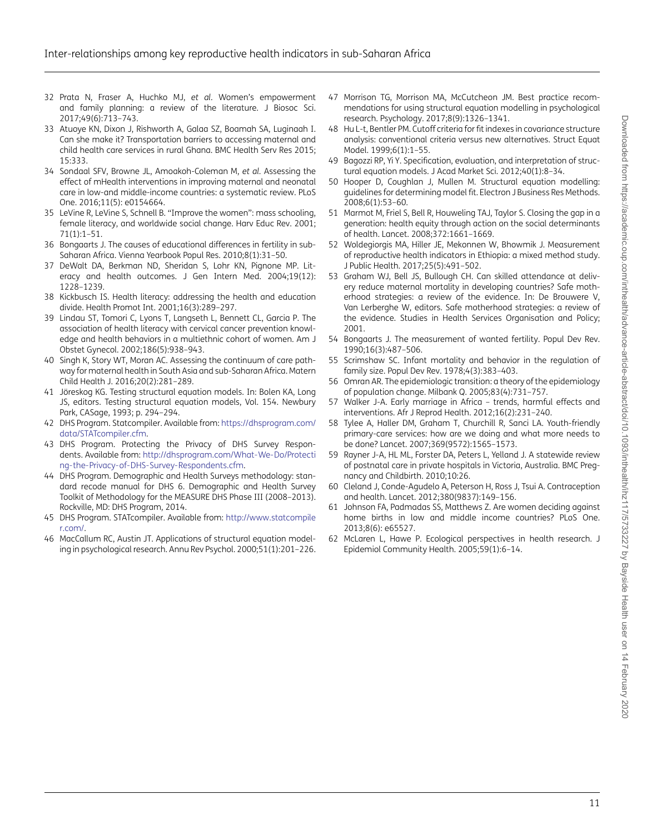- <span id="page-10-0"></span>32 Prata N, Fraser A, Huchko MJ, *et al.* Women's empowerment and family planning: a review of the literature. J Biosoc Sci. 2017;49(6):713–743.
- <span id="page-10-1"></span>33 Atuoye KN, Dixon J, Rishworth A, Galaa SZ, Boamah SA, Luginaah I. Can she make it? Transportation barriers to accessing maternal and child health care services in rural Ghana. BMC Health Serv Res 2015; 15:333.
- <span id="page-10-2"></span>34 Sondaal SFV, Browne JL, Amoakoh-Coleman M, *et al.* Assessing the effect of mHealth interventions in improving maternal and neonatal care in low-and middle-income countries: a systematic review. PLoS One. 2016;11(5): e0154664.
- <span id="page-10-3"></span>35 LeVine R, LeVine S, Schnell B. "Improve the women": mass schooling, female literacy, and worldwide social change. Harv Educ Rev. 2001;  $71(1):1 - 51$
- <span id="page-10-4"></span>36 Bongaarts J. The causes of educational differences in fertility in sub-Saharan Africa. Vienna Yearbook Popul Res. 2010;8(1):31–50.
- <span id="page-10-5"></span>37 DeWalt DA, Berkman ND, Sheridan S, Lohr KN, Pignone MP. Literacy and health outcomes. J Gen Intern Med. 2004;19(12): 1228–1239.
- <span id="page-10-6"></span>38 Kickbusch IS. Health literacy: addressing the health and education divide. Health Promot Int. 2001;16(3):289–297.
- <span id="page-10-7"></span>39 Lindau ST, Tomori C, Lyons T, Langseth L, Bennett CL, Garcia P. The association of health literacy with cervical cancer prevention knowledge and health behaviors in a multiethnic cohort of women. Am J Obstet Gynecol. 2002;186(5):938–943.
- <span id="page-10-8"></span>40 Singh K, Story WT, Moran AC. Assessing the continuum of care pathway for maternal health in South Asia and sub-Saharan Africa. Matern Child Health J. 2016;20(2):281–289.
- <span id="page-10-9"></span>41 Jöreskog KG. Testing structural equation models. In: Bolen KA, Long JS, editors. Testing structural equation models, Vol. 154. Newbury Park, CASage, 1993; p. 294–294.
- <span id="page-10-10"></span>42 DHS Program. Statcompiler. Available from: [https://dhsprogram.com/](https://dhsprogram.com/data/STATcompiler.cfm) [data/STATcompiler.cfm.](https://dhsprogram.com/data/STATcompiler.cfm)
- <span id="page-10-11"></span>43 DHS Program. Protecting the Privacy of DHS Survey Respondents. Available from: [http://dhsprogram.com/What-We-Do/Protecti](http://dhsprogram.com/What-We-Do/Protecting-the-Privacy-of-DHS-Survey-Respondents.cfm) [ng-the-Privacy-of-DHS-Survey-Respondents.cfm.](http://dhsprogram.com/What-We-Do/Protecting-the-Privacy-of-DHS-Survey-Respondents.cfm)
- <span id="page-10-12"></span>44 DHS Program. Demographic and Health Surveys methodology: standard recode manual for DHS 6. Demographic and Health Survey Toolkit of Methodology for the MEASURE DHS Phase III (2008–2013). Rockville, MD: DHS Program, 2014.
- <span id="page-10-13"></span>45 DHS Program. STATcompiler. Available from: [http://www.statcompile](http://www.statcompiler.com/) [r.com/.](http://www.statcompiler.com/)
- <span id="page-10-14"></span>46 MacCallum RC, Austin JT. Applications of structural equation modeling in psychological research. Annu Rev Psychol. 2000;51(1):201–226.
- <span id="page-10-15"></span>47 Morrison TG, Morrison MA, McCutcheon JM. Best practice recommendations for using structural equation modelling in psychological research. Psychology. 2017;8(9):1326–1341.
- <span id="page-10-16"></span>48 Hu L-t, Bentler PM. Cutoff criteria for fit indexes in covariance structure analysis: conventional criteria versus new alternatives. Struct Equat Model. 1999;6(1):1–55.
- <span id="page-10-17"></span>49 Bagozzi RP, Yi Y. Specification, evaluation, and interpretation of structural equation models. J Acad Market Sci. 2012;40(1):8–34.
- <span id="page-10-18"></span>50 Hooper D, Coughlan J, Mullen M. Structural equation modelling: guidelines for determining model fit. Electron J Business Res Methods. 2008;6(1):53–60.
- <span id="page-10-19"></span>51 Marmot M, Friel S, Bell R, Houweling TAJ, Taylor S. Closing the gap in a generation: health equity through action on the social determinants of health. Lancet. 2008;372:1661–1669.
- <span id="page-10-20"></span>52 Woldegiorgis MA, Hiller JE, Mekonnen W, Bhowmik J. Measurement of reproductive health indicators in Ethiopia: a mixed method study. J Public Health. 2017;25(5):491–502.
- <span id="page-10-21"></span>53 Graham WJ, Bell JS, Bullough CH. Can skilled attendance at delivery reduce maternal mortality in developing countries? Safe motherhood strategies: a review of the evidence. In: De Brouwere V, Van Lerberghe W, editors. Safe motherhood strategies: a review of the evidence. Studies in Health Services Organisation and Policy; 2001.
- <span id="page-10-22"></span>54 Bongaarts J. The measurement of wanted fertility. Popul Dev Rev. 1990;16(3):487–506.
- <span id="page-10-23"></span>55 Scrimshaw SC. Infant mortality and behavior in the regulation of family size. Popul Dev Rev. 1978;4(3):383–403.
- <span id="page-10-24"></span>56 Omran AR. The epidemiologic transition: a theory of the epidemiology of population change. Milbank Q. 2005;83(4):731–757.
- <span id="page-10-25"></span>57 Walker J-A. Early marriage in Africa – trends, harmful effects and interventions. Afr J Reprod Health. 2012;16(2):231–240.
- <span id="page-10-26"></span>58 Tylee A, Haller DM, Graham T, Churchill R, Sanci LA. Youth-friendly primary-care services: how are we doing and what more needs to be done? Lancet. 2007;369(9572):1565–1573.
- <span id="page-10-27"></span>59 Rayner J-A, HL ML, Forster DA, Peters L, Yelland J. A statewide review of postnatal care in private hospitals in Victoria, Australia. BMC Pregnancy and Childbirth. 2010;10:26.
- <span id="page-10-28"></span>60 Cleland J, Conde-Agudelo A, Peterson H, Ross J, Tsui A. Contraception and health. Lancet. 2012;380(9837):149–156.
- <span id="page-10-29"></span>61 Johnson FA, Padmadas SS, Matthews Z. Are women deciding against home births in low and middle income countries? PLoS One. 2013;8(6): e65527.
- <span id="page-10-30"></span>62 McLaren L, Hawe P. Ecological perspectives in health research. J Epidemiol Community Health. 2005;59(1):6–14.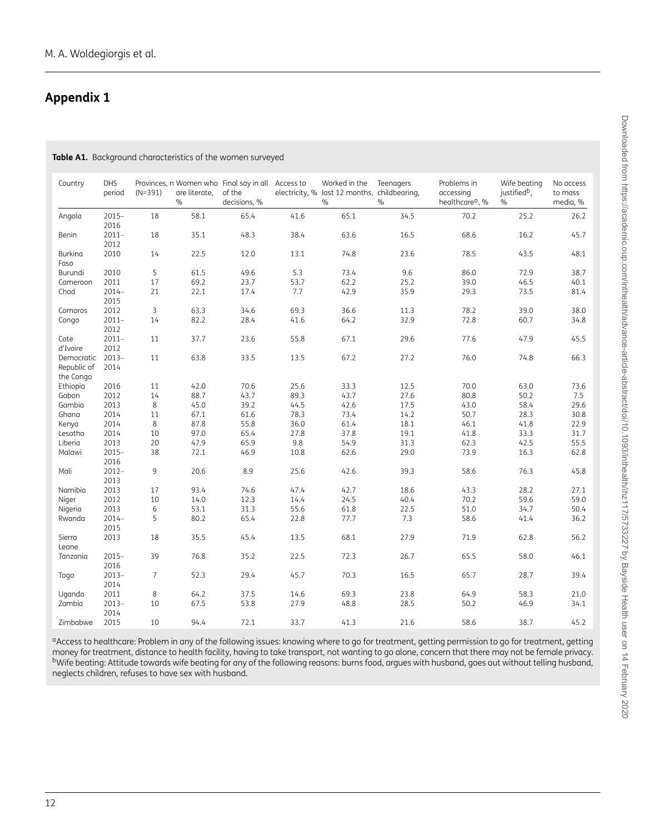## **Appendix 1**

| Country                  | <b>DHS</b><br>period | $(N=391)$ | are literate,<br>$\%$ | Provinces, n Women who Final say in all Access to<br>of the<br>decisions, % |      | Worked in the<br>electricity, % last 12 months, childbearing,<br>$\%$ | Teenagers<br>$\%$ | Problems in<br>accessing<br>healthcare <sup>a</sup> , % | Wife beating<br>justified <sup>b</sup> ,<br>$\%$ | No access<br>to mass<br>media, % |
|--------------------------|----------------------|-----------|-----------------------|-----------------------------------------------------------------------------|------|-----------------------------------------------------------------------|-------------------|---------------------------------------------------------|--------------------------------------------------|----------------------------------|
| Angola                   | $2015 -$<br>2016     | 18        | 58.1                  | 65.4                                                                        | 41.6 | 65.1                                                                  | 34.5              | 70.2                                                    | 25.2                                             | 26.2                             |
| Benin                    | $2011 -$<br>2012     | 18        | 35.1                  | 48.3                                                                        | 38.4 | 63.6                                                                  | 16.5              | 68.6                                                    | 16.2                                             | 45.7                             |
| Burkina<br>Faso          | 2010                 | 14        | 22.5                  | 12.0                                                                        | 13.1 | 74.8                                                                  | 23.6              | 78.5                                                    | 43.5                                             | 48.1                             |
| Burundi                  | 2010                 | 5         | 61.5                  | 49.6                                                                        | 5.3  | 73.4                                                                  | 9.6               | 86.0                                                    | 72.9                                             | 38.7                             |
| Cameroon                 | 2011                 | 17        | 69.2                  | 23.7                                                                        | 53.7 | 62.2                                                                  | 25.2              | 39.0                                                    | 46.5                                             | 40.1                             |
| Chad                     | $2014-$<br>2015      | 21        | 22.1                  | 17.4                                                                        | 7.7  | 42.9                                                                  | 35.9              | 29.3                                                    | 73.5                                             | 81.4                             |
| Comoros                  | 2012                 | 3         | 63.3                  | 34.6                                                                        | 69.3 | 36.6                                                                  | 11.3              | 78.2                                                    | 39.0                                             | 38.0                             |
| Congo                    | $2011 -$<br>2012     | 14        | 82.2                  | 28.4                                                                        | 41.6 | 64.2                                                                  | 32.9              | 72.8                                                    | 60.7                                             | 34.8                             |
| Cote<br>d'Ivoire         | $2011 -$<br>2012     | 11        | 37.7                  | 23.6                                                                        | 55.8 | 67.1                                                                  | 29.6              | 77.6                                                    | 47.9                                             | 45.5                             |
| Democratic               | $2013-$              | 11        | 63.8                  | 33.5                                                                        | 13.5 | 67.2                                                                  | 27.2              | 76.0                                                    | 74.8                                             | 66.3                             |
| Republic of<br>the Congo | 2014                 |           |                       |                                                                             |      |                                                                       |                   |                                                         |                                                  |                                  |
| Ethiopia                 | 2016                 | 11        | 42.0                  | 70.6                                                                        | 25.6 | 33.3                                                                  | 12.5              | 70.0                                                    | 63.0                                             | 73.6                             |
| Gabon                    | 2012                 | 14        | 88.7                  | 43.7                                                                        | 89.3 | 43.7                                                                  | 27.6              | 80.8                                                    | 50.2                                             | 7.5                              |
| Gambia                   | 2013                 | 8         | 45.0                  | 39.2                                                                        | 44.5 | 42.6                                                                  | 17.5              | 43.0                                                    | 58.4                                             | 29.6                             |
| Ghana                    | 2014                 | 11        | 67.1                  | 61.6                                                                        | 78.3 | 73.4                                                                  | 14.2              | 50.7                                                    | 28.3                                             | 30.8                             |
| Kenya                    | 2014                 | 8         | 87.8                  | 55.8                                                                        | 36.0 | 61.4                                                                  | 18.1              | 46.1                                                    | 41.8                                             | 22.9                             |
| Lesotho                  | 2014                 | 10        | 97.0                  | 65.4                                                                        | 27.8 | 37.8                                                                  | 19.1              | 41.8                                                    | 33.3                                             | 31.7                             |
| Liberia                  | 2013                 | 20        | 47.9                  | 65.9                                                                        | 9.8  | 54.9                                                                  | 31.3              | 62.3                                                    | 42.5                                             | 55.5                             |
| Malawi                   | $2015 -$<br>2016     | 38        | 72.1                  | 46.9                                                                        | 10.8 | 62.6                                                                  | 29.0              | 73.9                                                    | 16.3                                             | 62.8                             |
| Mali                     | $2012 -$<br>2013     | 9         | 20.6                  | 8.9                                                                         | 25.6 | 42.6                                                                  | 39.3              | 58.6                                                    | 76.3                                             | 45.8                             |
| Namibia                  | 2013                 | 17        | 93.4                  | 74.6                                                                        | 47.4 | 42.7                                                                  | 18.6              | 43.3                                                    | 28.2                                             | 27.1                             |
| Niger                    | 2012                 | 10        | 14.0                  | 12.3                                                                        | 14.4 | 24.5                                                                  | 40.4              | 70.2                                                    | 59.6                                             | 59.0                             |
| Nigeria                  | 2013                 | 6         | 53.1                  | 31.3                                                                        | 55.6 | 61.8                                                                  | 22.5              | 51.0                                                    | 34.7                                             | 50.4                             |
| Rwanda                   | $2014-$<br>2015      | 5         | 80.2                  | 65.4                                                                        | 22.8 | 77.7                                                                  | 7.3               | 58.6                                                    | 41.4                                             | 36.2                             |
| Sierra<br>Leone          | 2013                 | 18        | 35.5                  | 45.4                                                                        | 13.5 | 68.1                                                                  | 27.9              | 71.9                                                    | 62.8                                             | 56.2                             |
| Tanzania                 | $2015 -$<br>2016     | 39        | 76.8                  | 35.2                                                                        | 22.5 | 72.3                                                                  | 26.7              | 65.5                                                    | 58.0                                             | 46.1                             |
| Togo                     | $2013-$<br>2014      | 7         | 52.3                  | 29.4                                                                        | 45.7 | 70.3                                                                  | 16.5              | 65.7                                                    | 28.7                                             | 39.4                             |
| Uganda                   | 2011                 | 8         | 64.2                  | 37.5                                                                        | 14.6 | 69.3                                                                  | 23.8              | 64.9                                                    | 58.3                                             | 21.0                             |
| Zambia                   | $2013 -$<br>2014     | 10        | 67.5                  | 53.8                                                                        | 27.9 | 48.8                                                                  | 28.5              | 50.2                                                    | 46.9                                             | 34.1                             |
| Zimbabwe                 | 2015                 | 10        | 94.4                  | 72.1                                                                        | 33.7 | 41.3                                                                  | 21.6              | 58.6                                                    | 38.7                                             | 45.2                             |

**Table A1.** Background characteristics of the women surveyed

aAccess to healthcare: Problem in any of the following issues: knowing where to go for treatment, getting permission to go for treatment, getting money for treatment, distance to health facility, having to take transport, not wanting to go alone, concern that there may not be female privacy.  $^{\rm b}$ Wife beating: Attitude towards wife beating for any of the following reasons: burns food, argues with husband, goes out without telling husband, neglects children, refuses to have sex with husband.